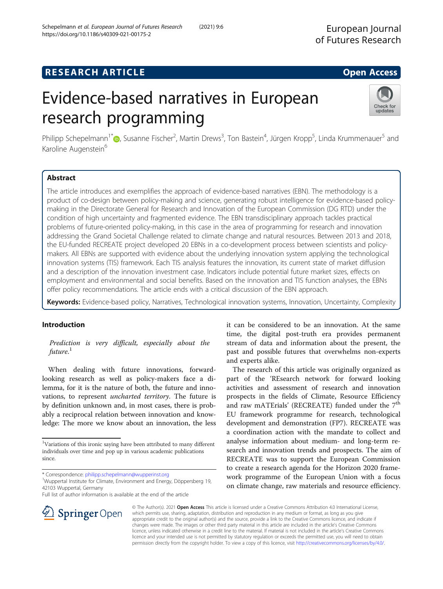# **RESEARCH ARTICLE Example 2014 12:30 The Contract of Contract Contract Contract Contract Contract Contract Contract Contract Contract Contract Contract Contract Contract Contract Contract Contract Contract Contract Contr**

# Evidence-based narratives in European research programming

Philipp Schepelmann<sup>1[\\*](http://orcid.org/0000-0002-1776-7035)</sup> D, Susanne Fischer<sup>2</sup>, Martin Drews<sup>3</sup>, Ton Bastein<sup>4</sup>, Jürgen Kropp<sup>5</sup>, Linda Krummenauer<sup>5</sup> and Karoline Augenstein<sup>6</sup>

### Abstract

The article introduces and exemplifies the approach of evidence-based narratives (EBN). The methodology is a product of co-design between policy-making and science, generating robust intelligence for evidence-based policymaking in the Directorate General for Research and Innovation of the European Commission (DG RTD) under the condition of high uncertainty and fragmented evidence. The EBN transdisciplinary approach tackles practical problems of future-oriented policy-making, in this case in the area of programming for research and innovation addressing the Grand Societal Challenge related to climate change and natural resources. Between 2013 and 2018, the EU-funded RECREATE project developed 20 EBNs in a co-development process between scientists and policymakers. All EBNs are supported with evidence about the underlying innovation system applying the technological innovation systems (TIS) framework. Each TIS analysis features the innovation, its current state of market diffusion and a description of the innovation investment case. Indicators include potential future market sizes, effects on employment and environmental and social benefits. Based on the innovation and TIS function analyses, the EBNs offer policy recommendations. The article ends with a critical discussion of the EBN approach.

Keywords: Evidence-based policy, Narratives, Technological innovation systems, Innovation, Uncertainty, Complexity

#### Introduction

Prediction is very difficult, especially about the future. $^{\rm 1}$ 

When dealing with future innovations, forwardlooking research as well as policy-makers face a dilemma, for it is the nature of both, the future and innovations, to represent uncharted territory. The future is by definition unknown and, in most cases, there is probably a reciprocal relation between innovation and knowledge: The more we know about an innovation, the less

**Springer** Open

Full list of author information is available at the end of the article

it can be considered to be an innovation. At the same time, the digital post-truth era provides permanent stream of data and information about the present, the past and possible futures that overwhelms non-experts and experts alike.

The research of this article was originally organized as part of the 'REsearch network for forward looking activities and assessment of research and innovation prospects in the fields of Climate, Resource Efficiency and raw mATErials' (RECREATE) funded under the 7<sup>th</sup> EU framework programme for research, technological development and demonstration (FP7). RECREATE was a coordination action with the mandate to collect and analyse information about medium- and long-term research and innovation trends and prospects. The aim of RECREATE was to support the European Commission to create a research agenda for the Horizon 2020 framework programme of the European Union with a focus on climate change, raw materials and resource efficiency.

© The Author(s). 2021 Open Access This article is licensed under a Creative Commons Attribution 4.0 International License, which permits use, sharing, adaptation, distribution and reproduction in any medium or format, as long as you give appropriate credit to the original author(s) and the source, provide a link to the Creative Commons licence, and indicate if changes were made. The images or other third party material in this article are included in the article's Creative Commons licence, unless indicated otherwise in a credit line to the material. If material is not included in the article's Creative Commons licence and your intended use is not permitted by statutory regulation or exceeds the permitted use, you will need to obtain permission directly from the copyright holder. To view a copy of this licence, visit <http://creativecommons.org/licenses/by/4.0/>.





<sup>&</sup>lt;sup>1</sup>Variations of this ironic saying have been attributed to many different individuals over time and pop up in various academic publications since.

<sup>\*</sup> Correspondence: [philipp.schepelmann@wupperinst.org](mailto:philipp.schepelmann@wupperinst.org) <sup>1</sup>

<sup>&</sup>lt;sup>1</sup>Wuppertal Institute for Climate, Environment and Energy, Döppersberg 19, 42103 Wuppertal, Germany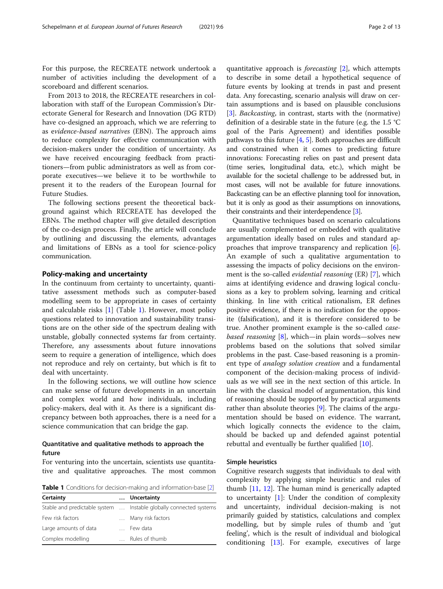For this purpose, the RECREATE network undertook a number of activities including the development of a scoreboard and different scenarios.

From 2013 to 2018, the RECREATE researchers in collaboration with staff of the European Commission's Directorate General for Research and Innovation (DG RTD) have co-designed an approach, which we are referring to as evidence-based narratives (EBN). The approach aims to reduce complexity for effective communication with decision-makers under the condition of uncertainty. As we have received encouraging feedback from practitioners—from public administrators as well as from corporate executives—we believe it to be worthwhile to present it to the readers of the European Journal for Future Studies.

The following sections present the theoretical background against which RECREATE has developed the EBNs. The method chapter will give detailed description of the co-design process. Finally, the article will conclude by outlining and discussing the elements, advantages and limitations of EBNs as a tool for science-policy communication.

#### Policy-making and uncertainty

In the continuum from certainty to uncertainty, quantitative assessment methods such as computer-based modelling seem to be appropriate in cases of certainty and calculable risks [[1\]](#page-11-0) (Table 1). However, most policy questions related to innovation and sustainability transitions are on the other side of the spectrum dealing with unstable, globally connected systems far from certainty. Therefore, any assessments about future innovations seem to require a generation of intelligence, which does not reproduce and rely on certainty, but which is fit to deal with uncertainty.

In the following sections, we will outline how science can make sense of future developments in an uncertain and complex world and how individuals, including policy-makers, deal with it. As there is a significant discrepancy between both approaches, there is a need for a science communication that can bridge the gap.

#### Quantitative and qualitative methods to approach the future

For venturing into the uncertain, scientists use quantitative and qualitative approaches. The most common

**Table 1** Conditions for decision-making and information-base [\[2\]](#page-11-0)

| Certainty             | Uncertainty                                                        |
|-----------------------|--------------------------------------------------------------------|
|                       | Stable and predictable system  Instable globally connected systems |
| Few risk factors      | Many risk factors                                                  |
| Large amounts of data | Few data                                                           |
| Complex modelling     | Rules of thumb                                                     |

quantitative approach is forecasting [[2\]](#page-11-0), which attempts to describe in some detail a hypothetical sequence of future events by looking at trends in past and present data. Any forecasting, scenario analysis will draw on certain assumptions and is based on plausible conclusions [[3\]](#page-11-0). *Backcasting*, in contrast, starts with the (normative) definition of a desirable state in the future (e.g. the 1.5 °C goal of the Paris Agreement) and identifies possible pathways to this future [[4,](#page-11-0) [5](#page-11-0)]. Both approaches are difficult and constrained when it comes to predicting future innovations: Forecasting relies on past and present data (time series, longitudinal data, etc.), which might be available for the societal challenge to be addressed but, in most cases, will not be available for future innovations. Backcasting can be an effective planning tool for innovation, but it is only as good as their assumptions on innovations, their constraints and their interdependence [\[3](#page-11-0)].

Quantitative techniques based on scenario calculations are usually complemented or embedded with qualitative argumentation ideally based on rules and standard approaches that improve transparency and replication [\[6](#page-11-0)]. An example of such a qualitative argumentation to assessing the impacts of policy decisions on the environment is the so-called *evidential reasoning* (ER) [[7\]](#page-11-0), which aims at identifying evidence and drawing logical conclusions as a key to problem solving, learning and critical thinking. In line with critical rationalism, ER defines positive evidence, if there is no indication for the opposite (falsification), and it is therefore considered to be true. Another prominent example is the so-called casebased reasoning  $[8]$  $[8]$ , which—in plain words—solves new problems based on the solutions that solved similar problems in the past. Case-based reasoning is a prominent type of analogy solution creation and a fundamental component of the decision-making process of individuals as we will see in the next section of this article. In line with the classical model of argumentation, this kind of reasoning should be supported by practical arguments rather than absolute theories [[9\]](#page-11-0). The claims of the argumentation should be based on evidence. The warrant, which logically connects the evidence to the claim, should be backed up and defended against potential rebuttal and eventually be further qualified [\[10](#page-11-0)].

#### Simple heuristics

Cognitive research suggests that individuals to deal with complexity by applying simple heuristic and rules of thumb [[11](#page-11-0), [12\]](#page-11-0). The human mind is generically adapted to uncertainty  $[1]$  $[1]$ : Under the condition of complexity and uncertainty, individual decision-making is not primarily guided by statistics, calculations and complex modelling, but by simple rules of thumb and 'gut feeling', which is the result of individual and biological conditioning [[13\]](#page-11-0). For example, executives of large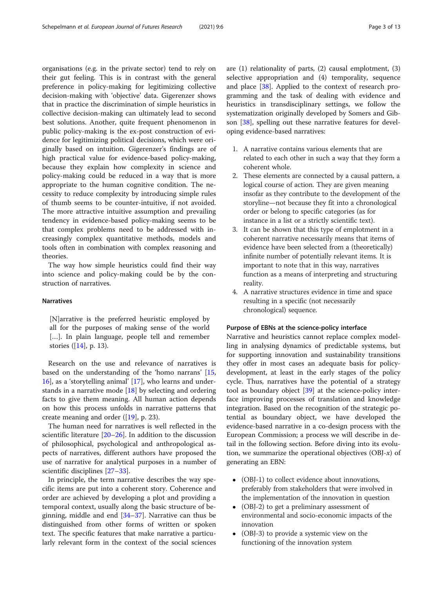organisations (e.g. in the private sector) tend to rely on their gut feeling. This is in contrast with the general preference in policy-making for legitimizing collective decision-making with 'objective' data. Gigerenzer shows that in practice the discrimination of simple heuristics in collective decision-making can ultimately lead to second best solutions. Another, quite frequent phenomenon in public policy-making is the ex-post construction of evidence for legitimizing political decisions, which were originally based on intuition. Gigerenzer's findings are of high practical value for evidence-based policy-making, because they explain how complexity in science and policy-making could be reduced in a way that is more appropriate to the human cognitive condition. The necessity to reduce complexity by introducing simple rules of thumb seems to be counter-intuitive, if not avoided. The more attractive intuitive assumption and prevailing tendency in evidence-based policy-making seems to be that complex problems need to be addressed with increasingly complex quantitative methods, models and tools often in combination with complex reasoning and theories.

The way how simple heuristics could find their way into science and policy-making could be by the construction of narratives.

#### Narratives

[N]arrative is the preferred heuristic employed by all for the purposes of making sense of the world [...]. In plain language, people tell and remember stories ([\[14](#page-11-0)], p. 13).

Research on the use and relevance of narratives is based on the understanding of the 'homo narrans' [[15](#page-11-0), [16\]](#page-11-0), as a 'storytelling animal' [\[17](#page-11-0)], who learns and understands in a narrative mode  $[18]$  $[18]$  by selecting and ordering facts to give them meaning. All human action depends on how this process unfolds in narrative patterns that create meaning and order ([\[19](#page-11-0)], p. 23).

The human need for narratives is well reflected in the scientific literature [\[20](#page-11-0)–[26\]](#page-11-0). In addition to the discussion of philosophical, psychological and anthropological aspects of narratives, different authors have proposed the use of narrative for analytical purposes in a number of scientific disciplines [\[27](#page-11-0)–[33\]](#page-11-0).

In principle, the term narrative describes the way specific items are put into a coherent story. Coherence and order are achieved by developing a plot and providing a temporal context, usually along the basic structure of beginning, middle and end  $[34–37]$  $[34–37]$  $[34–37]$  $[34–37]$  $[34–37]$ . Narrative can thus be distinguished from other forms of written or spoken text. The specific features that make narrative a particularly relevant form in the context of the social sciences are (1) relationality of parts, (2) causal emplotment, (3) selective appropriation and (4) temporality, sequence and place [[38\]](#page-12-0). Applied to the context of research programming and the task of dealing with evidence and heuristics in transdisciplinary settings, we follow the systematization originally developed by Somers and Gibson [\[38\]](#page-12-0), spelling out these narrative features for developing evidence-based narratives:

- 1. A narrative contains various elements that are related to each other in such a way that they form a coherent whole.
- 2. These elements are connected by a causal pattern, a logical course of action. They are given meaning insofar as they contribute to the development of the storyline—not because they fit into a chronological order or belong to specific categories (as for instance in a list or a strictly scientific text).
- 3. It can be shown that this type of emplotment in a coherent narrative necessarily means that items of evidence have been selected from a (theoretically) infinite number of potentially relevant items. It is important to note that in this way, narratives function as a means of interpreting and structuring reality.
- 4. A narrative structures evidence in time and space resulting in a specific (not necessarily chronological) sequence.

#### Purpose of EBNs at the science-policy interface

Narrative and heuristics cannot replace complex modelling in analysing dynamics of predictable systems, but for supporting innovation and sustainability transitions they offer in most cases an adequate basis for policydevelopment, at least in the early stages of the policy cycle. Thus, narratives have the potential of a strategy tool as boundary object [\[39](#page-12-0)] at the science-policy interface improving processes of translation and knowledge integration. Based on the recognition of the strategic potential as boundary object, we have developed the evidence-based narrative in a co-design process with the European Commission; a process we will describe in detail in the following section. Before diving into its evolution, we summarize the operational objectives  $(OBI-x)$  of generating an EBN:

- (OBJ-1) to collect evidence about innovations, preferably from stakeholders that were involved in the implementation of the innovation in question
- (OBJ-2) to get a preliminary assessment of environmental and socio-economic impacts of the innovation
- (OBJ-3) to provide a systemic view on the functioning of the innovation system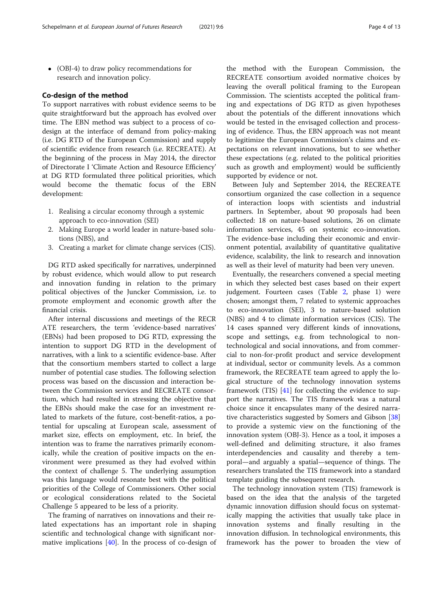(OBJ-4) to draw policy recommendations for research and innovation policy.

#### Co-design of the method

To support narratives with robust evidence seems to be quite straightforward but the approach has evolved over time. The EBN method was subject to a process of codesign at the interface of demand from policy-making (i.e. DG RTD of the European Commission) and supply of scientific evidence from research (i.e. RECREATE). At the beginning of the process in May 2014, the director of Directorate I 'Climate Action and Resource Efficiency' at DG RTD formulated three political priorities, which would become the thematic focus of the EBN development:

- 1. Realising a circular economy through a systemic approach to eco-innovation (SEI)
- 2. Making Europe a world leader in nature-based solutions (NBS), and
- 3. Creating a market for climate change services (CIS).

DG RTD asked specifically for narratives, underpinned by robust evidence, which would allow to put research and innovation funding in relation to the primary political objectives of the Juncker Commission, i.e. to promote employment and economic growth after the financial crisis.

After internal discussions and meetings of the RECR ATE researchers, the term 'evidence-based narratives' (EBNs) had been proposed to DG RTD, expressing the intention to support DG RTD in the development of narratives, with a link to a scientific evidence-base. After that the consortium members started to collect a large number of potential case studies. The following selection process was based on the discussion and interaction between the Commission services and RECREATE consortium, which had resulted in stressing the objective that the EBNs should make the case for an investment related to markets of the future, cost-benefit-ratios, a potential for upscaling at European scale, assessment of market size, effects on employment, etc. In brief, the intention was to frame the narratives primarily economically, while the creation of positive impacts on the environment were presumed as they had evolved within the context of challenge 5. The underlying assumption was this language would resonate best with the political priorities of the College of Commissioners. Other social or ecological considerations related to the Societal Challenge 5 appeared to be less of a priority.

The framing of narratives on innovations and their related expectations has an important role in shaping scientific and technological change with significant normative implications [[40\]](#page-12-0). In the process of co-design of

the method with the European Commission, the RECREATE consortium avoided normative choices by leaving the overall political framing to the European Commission. The scientists accepted the political framing and expectations of DG RTD as given hypotheses about the potentials of the different innovations which would be tested in the envisaged collection and processing of evidence. Thus, the EBN approach was not meant to legitimize the European Commission's claims and expectations on relevant innovations, but to see whether these expectations (e.g. related to the political priorities such as growth and employment) would be sufficiently supported by evidence or not.

Between July and September 2014, the RECREATE consortium organized the case collection in a sequence of interaction loops with scientists and industrial partners. In September, about 90 proposals had been collected: 18 on nature-based solutions, 26 on climate information services, 45 on systemic eco-innovation. The evidence-base including their economic and environment potential, availability of quantitative qualitative evidence, scalability, the link to research and innovation as well as their level of maturity had been very uneven.

Eventually, the researchers convened a special meeting in which they selected best cases based on their expert judgement. Fourteen cases (Table [2,](#page-4-0) phase 1) were chosen; amongst them, 7 related to systemic approaches to eco-innovation (SEI), 3 to nature-based solution (NBS) and 4 to climate information services (CIS). The 14 cases spanned very different kinds of innovations, scope and settings, e.g. from technological to nontechnological and social innovations, and from commercial to non-for-profit product and service development at individual, sector or community levels. As a common framework, the RECREATE team agreed to apply the logical structure of the technology innovation systems framework (TIS) [[41\]](#page-12-0) for collecting the evidence to support the narratives. The TIS framework was a natural choice since it encapsulates many of the desired narrative characteristics suggested by Somers and Gibson [[38](#page-12-0)] to provide a systemic view on the functioning of the innovation system (OBJ-3). Hence as a tool, it imposes a well-defined and delimiting structure, it also frames interdependencies and causality and thereby a temporal—and arguably a spatial—sequence of things. The researchers translated the TIS framework into a standard template guiding the subsequent research.

The technology innovation system (TIS) framework is based on the idea that the analysis of the targeted dynamic innovation diffusion should focus on systematically mapping the activities that usually take place in innovation systems and finally resulting in the innovation diffusion. In technological environments, this framework has the power to broaden the view of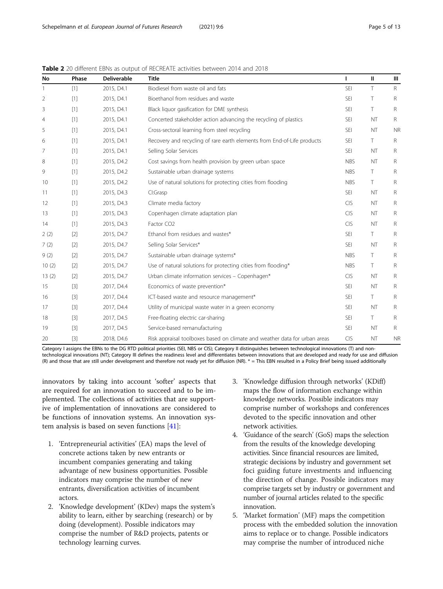| No    | Phase             | <b>Deliverable</b> | <b>Title</b>                                                               | L          | Ш         | Ш            |
|-------|-------------------|--------------------|----------------------------------------------------------------------------|------------|-----------|--------------|
|       | [1]               | 2015, D4.1         | Biodiesel from waste oil and fats                                          | <b>SEI</b> | T.        | $\mathsf{R}$ |
| 2     | [1]               | 2015, D4.1         | Bioethanol from residues and waste                                         | <b>SEI</b> | T         | R            |
| 3     | $[1]$             | 2015, D4.1         | Black liquor gasification for DME synthesis                                | <b>SEI</b> | T.        | R            |
| 4     | [1]               | 2015, D4.1         | Concerted stakeholder action advancing the recycling of plastics           | <b>SEI</b> | <b>NT</b> | R            |
| 5     | $[1]$             | 2015, D4.1         | Cross-sectoral learning from steel recycling                               | <b>SEI</b> | NT        | <b>NR</b>    |
| 6     | $\lceil 1 \rceil$ | 2015, D4.1         | Recovery and recycling of rare earth elements from End-of-Life products    | <b>SEI</b> | T         | R            |
| 7     | $\lceil 1 \rceil$ | 2015, D4.1         | Selling Solar Services                                                     | <b>SEI</b> | <b>NT</b> | R            |
| 8     | $[1]$             | 2015, D4.2         | Cost savings from health provision by green urban space                    | <b>NBS</b> | NT        | R            |
| 9     | [1]               | 2015, D4.2         | Sustainable urban drainage systems                                         | <b>NBS</b> | T.        | R            |
| 10    | $[1]$             | 2015, D4.2         | Use of natural solutions for protecting cities from flooding               | <b>NBS</b> | T.        | R            |
| 11    | $[1]$             | 2015, D4.3         | Cl:Grasp                                                                   | <b>SEI</b> | <b>NT</b> | R            |
| 12    | $[1]$             | 2015, D4.3         | Climate media factory                                                      | <b>CIS</b> | <b>NT</b> | $\mathsf{R}$ |
| 13    | $[1]$             | 2015, D4.3         | Copenhagen climate adaptation plan                                         | <b>CIS</b> | <b>NT</b> | R            |
| 14    | [1]               | 2015, D4.3         | Factor CO <sub>2</sub>                                                     | <b>CIS</b> | <b>NT</b> | R            |
| 2(2)  | $[2]$             | 2015, D4.7         | Ethanol from residues and wastes*                                          | <b>SEI</b> | T.        | R            |
| 7(2)  | $[2]$             | 2015, D4.7         | Selling Solar Services*                                                    | <b>SEI</b> | <b>NT</b> | R            |
| 9(2)  | $[2]$             | 2015, D4.7         | Sustainable urban drainage systems*                                        | <b>NBS</b> | T         | R            |
| 10(2) | $[2]$             | 2015, D4.7         | Use of natural solutions for protecting cities from flooding*              | <b>NBS</b> | T         | R            |
| 13(2) | $[2]$             | 2015, D4.7         | Urban climate information services - Copenhagen*                           | <b>CIS</b> | <b>NT</b> | R            |
| 15    | $[3]$             | 2017, D4.4         | Economics of waste prevention*                                             | <b>SEI</b> | <b>NT</b> | R            |
| 16    | $[3]$             | 2017, D4.4         | ICT-based waste and resource management*                                   | <b>SEI</b> | T.        | R            |
| 17    | $[3]$             | 2017, D4.4         | Utility of municipal waste water in a green economy                        | <b>SEI</b> | <b>NT</b> | R            |
| 18    | $[3]$             | 2017, D4.5         | Free-floating electric car-sharing                                         | <b>SEI</b> | T.        | R            |
| 19    | $[3]$             | 2017, D4.5         | Service-based remanufacturing                                              | <b>SEI</b> | <b>NT</b> | R            |
| 20    | $[3]$             | 2018, D4.6         | Risk appraisal toolboxes based on climate and weather data for urban areas | <b>CIS</b> | NT        | <b>NR</b>    |

<span id="page-4-0"></span>**Table 2** 20 different EBNs as output of RECREATE activities between 2014 and 2018

Category I assigns the EBNs to the DG RTD political priorities (SEI, NBS or CIS); Category II distinguishes between technological innovations (T) and nontechnological innovations (NT); Category III defines the readiness level and differentiates between innovations that are developed and ready for use and diffusion (R) and those that are still under development and therefore not ready yet for diffusion (NR). \* = This EBN resulted in a Policy Brief being issued additionally

innovators by taking into account 'softer' aspects that are required for an innovation to succeed and to be implemented. The collections of activities that are supportive of implementation of innovations are considered to be functions of innovation systems. An innovation system analysis is based on seven functions [[41\]](#page-12-0):

- 1. 'Entrepreneurial activities' (EA) maps the level of concrete actions taken by new entrants or incumbent companies generating and taking advantage of new business opportunities. Possible indicators may comprise the number of new entrants, diversification activities of incumbent actors.
- 2. 'Knowledge development' (KDev) maps the system's ability to learn, either by searching (research) or by doing (development). Possible indicators may comprise the number of R&D projects, patents or technology learning curves.
- 3. 'Knowledge diffusion through networks' (KDiff) maps the flow of information exchange within knowledge networks. Possible indicators may comprise number of workshops and conferences devoted to the specific innovation and other network activities.
- 4. 'Guidance of the search' (GoS) maps the selection from the results of the knowledge developing activities. Since financial resources are limited, strategic decisions by industry and government set foci guiding future investments and influencing the direction of change. Possible indicators may comprise targets set by industry or government and number of journal articles related to the specific innovation.
- 5. 'Market formation' (MF) maps the competition process with the embedded solution the innovation aims to replace or to change. Possible indicators may comprise the number of introduced niche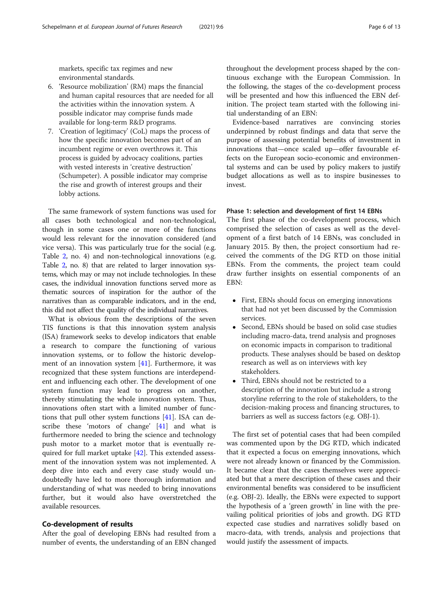markets, specific tax regimes and new environmental standards.

- 6. 'Resource mobilization' (RM) maps the financial and human capital resources that are needed for all the activities within the innovation system. A possible indicator may comprise funds made available for long-term R&D programs.
- 7. 'Creation of legitimacy' (CoL) maps the process of how the specific innovation becomes part of an incumbent regime or even overthrows it. This process is guided by advocacy coalitions, parties with vested interests in 'creative destruction' (Schumpeter). A possible indicator may comprise the rise and growth of interest groups and their lobby actions.

The same framework of system functions was used for all cases both technological and non-technological, though in some cases one or more of the functions would less relevant for the innovation considered (and vice versa). This was particularly true for the social (e.g. Table [2,](#page-4-0) no. 4) and non-technological innovations (e.g. Table [2,](#page-4-0) no. 8) that are related to larger innovation systems, which may or may not include technologies. In these cases, the individual innovation functions served more as thematic sources of inspiration for the author of the narratives than as comparable indicators, and in the end, this did not affect the quality of the individual narratives.

What is obvious from the descriptions of the seven TIS functions is that this innovation system analysis (ISA) framework seeks to develop indicators that enable a research to compare the functioning of various innovation systems, or to follow the historic development of an innovation system [\[41\]](#page-12-0). Furthermore, it was recognized that these system functions are interdependent and influencing each other. The development of one system function may lead to progress on another, thereby stimulating the whole innovation system. Thus, innovations often start with a limited number of functions that pull other system functions [\[41](#page-12-0)]. ISA can describe these 'motors of change' [\[41\]](#page-12-0) and what is furthermore needed to bring the science and technology push motor to a market motor that is eventually required for full market uptake [\[42\]](#page-12-0). This extended assessment of the innovation system was not implemented. A deep dive into each and every case study would undoubtedly have led to more thorough information and understanding of what was needed to bring innovations further, but it would also have overstretched the available resources.

#### Co-development of results

After the goal of developing EBNs had resulted from a number of events, the understanding of an EBN changed

throughout the development process shaped by the continuous exchange with the European Commission. In the following, the stages of the co-development process will be presented and how this influenced the EBN definition. The project team started with the following initial understanding of an EBN:

Evidence-based narratives are convincing stories underpinned by robust findings and data that serve the purpose of assessing potential benefits of investment in innovations that—once scaled up—offer favourable effects on the European socio-economic and environmental systems and can be used by policy makers to justify budget allocations as well as to inspire businesses to invest.

#### Phase 1: selection and development of first 14 EBNs

The first phase of the co-development process, which comprised the selection of cases as well as the development of a first batch of 14 EBNs, was concluded in January 2015. By then, the project consortium had received the comments of the DG RTD on those initial EBNs. From the comments, the project team could draw further insights on essential components of an EBN:

- First, EBNs should focus on emerging innovations that had not yet been discussed by the Commission services.
- Second, EBNs should be based on solid case studies including macro-data, trend analysis and prognoses on economic impacts in comparison to traditional products. These analyses should be based on desktop research as well as on interviews with key stakeholders.
- Third, EBNs should not be restricted to a description of the innovation but include a strong storyline referring to the role of stakeholders, to the decision-making process and financing structures, to barriers as well as success factors (e.g. OBJ-1).

The first set of potential cases that had been compiled was commented upon by the DG RTD, which indicated that it expected a focus on emerging innovations, which were not already known or financed by the Commission. It became clear that the cases themselves were appreciated but that a mere description of these cases and their environmental benefits was considered to be insufficient (e.g. OBJ-2). Ideally, the EBNs were expected to support the hypothesis of a 'green growth' in line with the prevailing political priorities of jobs and growth. DG RTD expected case studies and narratives solidly based on macro-data, with trends, analysis and projections that would justify the assessment of impacts.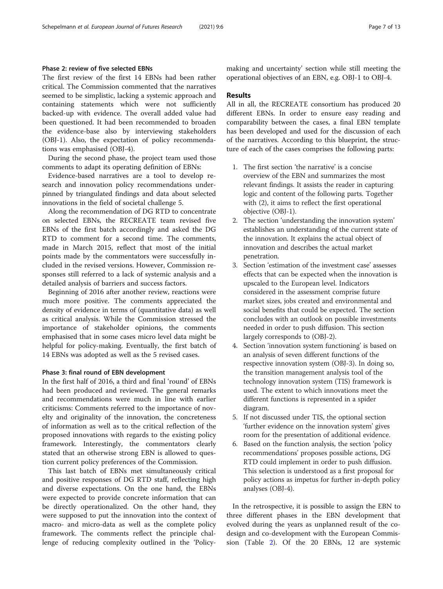#### Phase 2: review of five selected EBNs

The first review of the first 14 EBNs had been rather critical. The Commission commented that the narratives seemed to be simplistic, lacking a systemic approach and containing statements which were not sufficiently backed-up with evidence. The overall added value had been questioned. It had been recommended to broaden the evidence-base also by interviewing stakeholders (OBJ-1). Also, the expectation of policy recommendations was emphasised (OBJ-4).

During the second phase, the project team used those comments to adapt its operating definition of EBNs:

Evidence-based narratives are a tool to develop research and innovation policy recommendations underpinned by triangulated findings and data about selected innovations in the field of societal challenge 5.

Along the recommendation of DG RTD to concentrate on selected EBNs, the RECREATE team revised five EBNs of the first batch accordingly and asked the DG RTD to comment for a second time. The comments, made in March 2015, reflect that most of the initial points made by the commentators were successfully included in the revised versions. However, Commission responses still referred to a lack of systemic analysis and a detailed analysis of barriers and success factors.

Beginning of 2016 after another review, reactions were much more positive. The comments appreciated the density of evidence in terms of (quantitative data) as well as critical analysis. While the Commission stressed the importance of stakeholder opinions, the comments emphasised that in some cases micro level data might be helpful for policy-making. Eventually, the first batch of 14 EBNs was adopted as well as the 5 revised cases.

#### Phase 3: final round of EBN development

In the first half of 2016, a third and final 'round' of EBNs had been produced and reviewed. The general remarks and recommendations were much in line with earlier criticisms: Comments referred to the importance of novelty and originality of the innovation, the concreteness of information as well as to the critical reflection of the proposed innovations with regards to the existing policy framework. Interestingly, the commentators clearly stated that an otherwise strong EBN is allowed to question current policy preferences of the Commission.

This last batch of EBNs met simultaneously critical and positive responses of DG RTD staff, reflecting high and diverse expectations. On the one hand, the EBNs were expected to provide concrete information that can be directly operationalized. On the other hand, they were supposed to put the innovation into the context of macro- and micro-data as well as the complete policy framework. The comments reflect the principle challenge of reducing complexity outlined in the 'Policymaking and uncertainty' section while still meeting the operational objectives of an EBN, e.g. OBJ-1 to OBJ-4.

#### Results

All in all, the RECREATE consortium has produced 20 different EBNs. In order to ensure easy reading and comparability between the cases, a final EBN template has been developed and used for the discussion of each of the narratives. According to this blueprint, the structure of each of the cases comprises the following parts:

- 1. The first section 'the narrative' is a concise overview of the EBN and summarizes the most relevant findings. It assists the reader in capturing logic and content of the following parts. Together with (2), it aims to reflect the first operational objective (OBJ-1).
- 2. The section 'understanding the innovation system' establishes an understanding of the current state of the innovation. It explains the actual object of innovation and describes the actual market penetration.
- 3. Section 'estimation of the investment case' assesses effects that can be expected when the innovation is upscaled to the European level. Indicators considered in the assessment comprise future market sizes, jobs created and environmental and social benefits that could be expected. The section concludes with an outlook on possible investments needed in order to push diffusion. This section largely corresponds to (OBJ-2).
- 4. Section 'innovation system functioning' is based on an analysis of seven different functions of the respective innovation system (OBJ-3). In doing so, the transition management analysis tool of the technology innovation system (TIS) framework is used. The extent to which innovations meet the different functions is represented in a spider diagram.
- 5. If not discussed under TIS, the optional section 'further evidence on the innovation system' gives room for the presentation of additional evidence.
- 6. Based on the function analysis, the section 'policy recommendations' proposes possible actions, DG RTD could implement in order to push diffusion. This selection is understood as a first proposal for policy actions as impetus for further in-depth policy analyses (OBJ-4).

In the retrospective, it is possible to assign the EBN to three different phases in the EBN development that evolved during the years as unplanned result of the codesign and co-development with the European Commission (Table [2](#page-4-0)). Of the 20 EBNs, 12 are systemic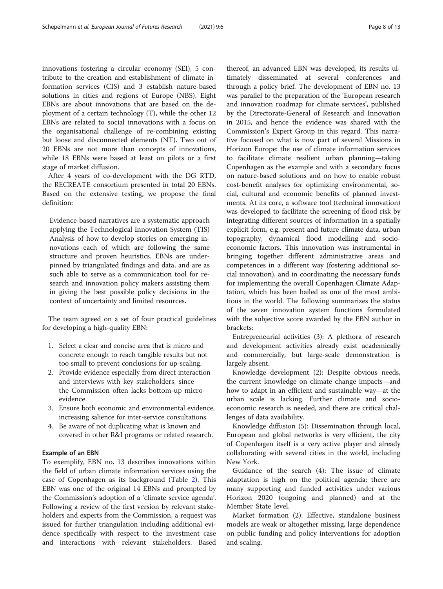innovations fostering a circular economy (SEI), 5 contribute to the creation and establishment of climate information services (CIS) and 3 establish nature-based solutions in cities and regions of Europe (NBS). Eight EBNs are about innovations that are based on the deployment of a certain technology (T), while the other 12 EBNs are related to social innovations with a focus on the organisational challenge of re-combining existing but loose and disconnected elements (NT). Two out of 20 EBNs are not more than concepts of innovations, while 18 EBNs were based at least on pilots or a first stage of market diffusion.

After 4 years of co-development with the DG RTD, the RECREATE consortium presented in total 20 EBNs. Based on the extensive testing, we propose the final definition:

Evidence-based narratives are a systematic approach applying the Technological Innovation System (TIS) Analysis of how to develop stories on emerging innovations each of which are following the same structure and proven heuristics. EBNs are underpinned by triangulated findings and data, and are as such able to serve as a communication tool for research and innovation policy makers assisting them in giving the best possible policy decisions in the context of uncertainty and limited resources.

The team agreed on a set of four practical guidelines for developing a high-quality EBN:

- 1. Select a clear and concise area that is micro and concrete enough to reach tangible results but not too small to prevent conclusions for up-scaling.
- 2. Provide evidence especially from direct interaction and interviews with key stakeholders, since the Commission often lacks bottom-up microevidence.
- 3. Ensure both economic and environmental evidence, increasing salience for inter-service consultations.
- 4. Be aware of not duplicating what is known and covered in other R&I programs or related research.

#### Example of an EBN

To exemplify, EBN no. 13 describes innovations within the field of urban climate information services using the case of Copenhagen as its background (Table [2](#page-4-0)). This EBN was one of the original 14 EBNs and prompted by the Commission's adoption of a 'climate service agenda'. Following a review of the first version by relevant stakeholders and experts from the Commission, a request was issued for further triangulation including additional evidence specifically with respect to the investment case and interactions with relevant stakeholders. Based

thereof, an advanced EBN was developed, its results ultimately disseminated at several conferences and through a policy brief. The development of EBN no. 13 was parallel to the preparation of the 'European research and innovation roadmap for climate services', published by the Directorate-General of Research and Innovation in 2015, and hence the evidence was shared with the Commission's Expert Group in this regard. This narrative focused on what is now part of several Missions in Horizon Europe: the use of climate information services to facilitate climate resilient urban planning—taking Copenhagen as the example and with a secondary focus on nature-based solutions and on how to enable robust cost-benefit analyses for optimizing environmental, social, cultural and economic benefits of planned investments. At its core, a software tool (technical innovation) was developed to facilitate the screening of flood risk by integrating different sources of information in a spatially explicit form, e.g. present and future climate data, urban topography, dynamical flood modelling and socioeconomic factors. This innovation was instrumental in bringing together different administrative areas and competences in a different way (fostering additional social innovation), and in coordinating the necessary funds for implementing the overall Copenhagen Climate Adaptation, which has been hailed as one of the most ambitious in the world. The following summarizes the status of the seven innovation system functions formulated with the subjective score awarded by the EBN author in brackets:

Entrepreneurial activities (3): A plethora of research and development activities already exist academically and commercially, but large-scale demonstration is largely absent.

Knowledge development (2): Despite obvious needs, the current knowledge on climate change impacts—and how to adapt in an efficient and sustainable way—at the urban scale is lacking. Further climate and socioeconomic research is needed, and there are critical challenges of data availability.

Knowledge diffusion (5): Dissemination through local, European and global networks is very efficient, the city of Copenhagen itself is a very active player and already collaborating with several cities in the world, including New York.

Guidance of the search (4): The issue of climate adaptation is high on the political agenda; there are many supporting and funded activities under various Horizon 2020 (ongoing and planned) and at the Member State level.

Market formation (2): Effective, standalone business models are weak or altogether missing, large dependence on public funding and policy interventions for adoption and scaling.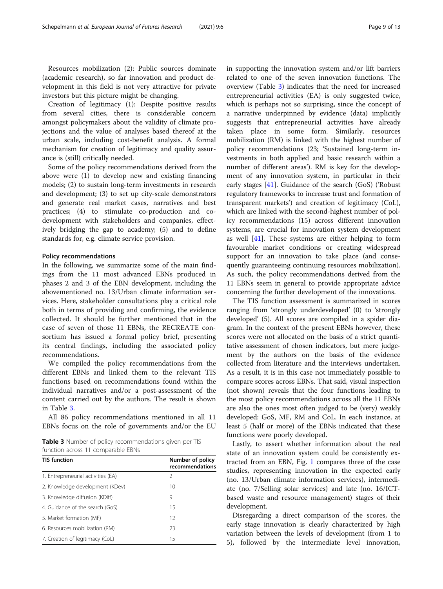Resources mobilization (2): Public sources dominate (academic research), so far innovation and product development in this field is not very attractive for private investors but this picture might be changing.

Creation of legitimacy (1): Despite positive results from several cities, there is considerable concern amongst policymakers about the validity of climate projections and the value of analyses based thereof at the urban scale, including cost-benefit analysis. A formal mechanism for creation of legitimacy and quality assurance is (still) critically needed.

Some of the policy recommendations derived from the above were (1) to develop new and existing financing models; (2) to sustain long-term investments in research and development; (3) to set up city-scale demonstrators and generate real market cases, narratives and best practices; (4) to stimulate co-production and codevelopment with stakeholders and companies, effectively bridging the gap to academy; (5) and to define standards for, e.g. climate service provision.

#### Policy recommendations

In the following, we summarize some of the main findings from the 11 most advanced EBNs produced in phases 2 and 3 of the EBN development, including the abovementioned no. 13/Urban climate information services. Here, stakeholder consultations play a critical role both in terms of providing and confirming, the evidence collected. It should be further mentioned that in the case of seven of those 11 EBNs, the RECREATE consortium has issued a formal policy brief, presenting its central findings, including the associated policy recommendations.

We compiled the policy recommendations from the different EBNs and linked them to the relevant TIS functions based on recommendations found within the individual narratives and/or a post-assessment of the content carried out by the authors. The result is shown in Table 3.

All 86 policy recommendations mentioned in all 11 EBNs focus on the role of governments and/or the EU

| <b>Table 3</b> Number of policy recommendations given per TIS |  |  |
|---------------------------------------------------------------|--|--|
| function across 11 comparable EBNs                            |  |  |

| <b>TIS function</b>                | Number of policy<br>recommendations |
|------------------------------------|-------------------------------------|
| 1. Entrepreneurial activities (EA) | 2                                   |
| 2. Knowledge development (KDev)    | 10                                  |
| 3. Knowledge diffusion (KDiff)     | 9                                   |
| 4. Guidance of the search (GoS)    | 15                                  |
| 5. Market formation (MF)           | 12                                  |
| 6. Resources mobilization (RM)     | 23                                  |
| 7. Creation of legitimacy (CoL)    | 15                                  |

in supporting the innovation system and/or lift barriers related to one of the seven innovation functions. The overview (Table 3) indicates that the need for increased entrepreneurial activities (EA) is only suggested twice, which is perhaps not so surprising, since the concept of a narrative underpinned by evidence (data) implicitly suggests that entrepreneurial activities have already taken place in some form. Similarly, resources mobilization (RM) is linked with the highest number of policy recommendations (23; 'Sustained long-term investments in both applied and basic research within a number of different areas'). RM is key for the development of any innovation system, in particular in their early stages [[41\]](#page-12-0). Guidance of the search (GoS) ('Robust regulatory frameworks to increase trust and formation of transparent markets') and creation of legitimacy (CoL), which are linked with the second-highest number of policy recommendations (15) across different innovation systems, are crucial for innovation system development as well [[41](#page-12-0)]. These systems are either helping to form favourable market conditions or creating widespread support for an innovation to take place (and consequently guaranteeing continuing resources mobilization). As such, the policy recommendations derived from the 11 EBNs seem in general to provide appropriate advice concerning the further development of the innovations.

The TIS function assessment is summarized in scores ranging from 'strongly underdeveloped' (0) to 'strongly developed' (5). All scores are compiled in a spider diagram. In the context of the present EBNs however, these scores were not allocated on the basis of a strict quantitative assessment of chosen indicators, but mere judgement by the authors on the basis of the evidence collected from literature and the interviews undertaken. As a result, it is in this case not immediately possible to compare scores across EBNs. That said, visual inspection (not shown) reveals that the four functions leading to the most policy recommendations across all the 11 EBNs are also the ones most often judged to be (very) weakly developed: GoS, MF, RM and CoL. In each instance, at least 5 (half or more) of the EBNs indicated that these functions were poorly developed.

Lastly, to assert whether information about the real state of an innovation system could be consistently extracted from an EBN, Fig. [1](#page-9-0) compares three of the case studies, representing innovation in the expected early (no. 13/Urban climate information services), intermediate (no. 7/Selling solar services) and late (no. 16/ICTbased waste and resource management) stages of their development.

Disregarding a direct comparison of the scores, the early stage innovation is clearly characterized by high variation between the levels of development (from 1 to 5), followed by the intermediate level innovation,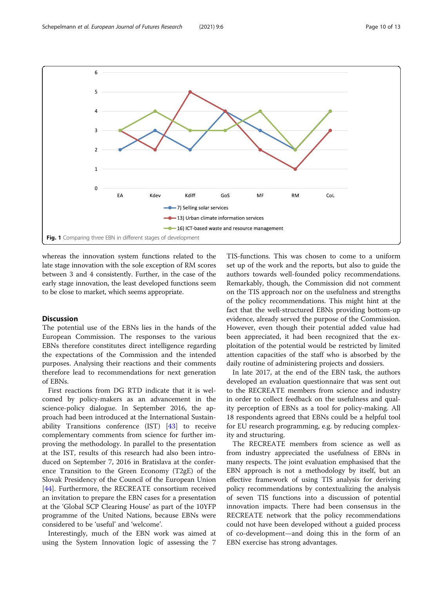<span id="page-9-0"></span>

whereas the innovation system functions related to the late stage innovation with the sole exception of RM scores between 3 and 4 consistently. Further, in the case of the early stage innovation, the least developed functions seem to be close to market, which seems appropriate.

#### Discussion

The potential use of the EBNs lies in the hands of the European Commission. The responses to the various EBNs therefore constitutes direct intelligence regarding the expectations of the Commission and the intended purposes. Analysing their reactions and their comments therefore lead to recommendations for next generation of EBNs.

First reactions from DG RTD indicate that it is welcomed by policy-makers as an advancement in the science-policy dialogue. In September 2016, the approach had been introduced at the International Sustainability Transitions conference (IST) [\[43](#page-12-0)] to receive complementary comments from science for further improving the methodology. In parallel to the presentation at the IST, results of this research had also been introduced on September 7, 2016 in Bratislava at the conference Transition to the Green Economy (T2gE) of the Slovak Presidency of the Council of the European Union [[44\]](#page-12-0). Furthermore, the RECREATE consortium received an invitation to prepare the EBN cases for a presentation at the 'Global SCP Clearing House' as part of the 10YFP programme of the United Nations, because EBNs were considered to be 'useful' and 'welcome'.

Interestingly, much of the EBN work was aimed at using the System Innovation logic of assessing the 7

TIS-functions. This was chosen to come to a uniform set up of the work and the reports, but also to guide the authors towards well-founded policy recommendations. Remarkably, though, the Commission did not comment on the TIS approach nor on the usefulness and strengths of the policy recommendations. This might hint at the fact that the well-structured EBNs providing bottom-up evidence, already served the purpose of the Commission. However, even though their potential added value had been appreciated, it had been recognized that the exploitation of the potential would be restricted by limited attention capacities of the staff who is absorbed by the daily routine of administering projects and dossiers.

In late 2017, at the end of the EBN task, the authors developed an evaluation questionnaire that was sent out to the RECREATE members from science and industry in order to collect feedback on the usefulness and quality perception of EBNs as a tool for policy-making. All 18 respondents agreed that EBNs could be a helpful tool for EU research programming, e.g. by reducing complexity and structuring.

The RECREATE members from science as well as from industry appreciated the usefulness of EBNs in many respects. The joint evaluation emphasised that the EBN approach is not a methodology by itself, but an effective framework of using TIS analysis for deriving policy recommendations by contextualizing the analysis of seven TIS functions into a discussion of potential innovation impacts. There had been consensus in the RECREATE network that the policy recommendations could not have been developed without a guided process of co-development—and doing this in the form of an EBN exercise has strong advantages.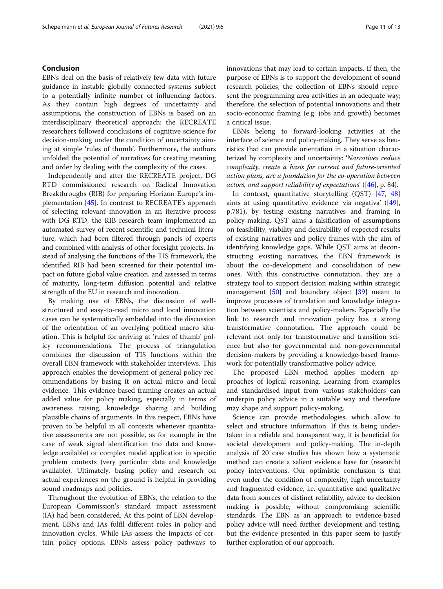#### Conclusion

EBNs deal on the basis of relatively few data with future guidance in instable globally connected systems subject to a potentially infinite number of influencing factors. As they contain high degrees of uncertainty and assumptions, the construction of EBNs is based on an interdisciplinary theoretical approach: the RECREATE researchers followed conclusions of cognitive science for decision-making under the condition of uncertainty aiming at simple 'rules of thumb'. Furthermore, the authors unfolded the potential of narratives for creating meaning and order by dealing with the complexity of the cases.

Independently and after the RECREATE project, DG RTD commissioned research on Radical Innovation Breakthroughs (RIB) for preparing Horizon Europe's implementation [\[45\]](#page-12-0). In contrast to RECREATE's approach of selecting relevant innovation in an iterative process with DG RTD, the RIB research team implemented an automated survey of recent scientific and technical literature, which had been filtered through panels of experts and combined with analysis of other foresight projects. Instead of analysing the functions of the TIS framework, the identified RIB had been screened for their potential impact on future global value creation, and assessed in terms of maturity, long-term diffusion potential and relative strength of the EU in research and innovation.

By making use of EBNs, the discussion of wellstructured and easy-to-read micro and local innovation cases can be systematically embedded into the discussion of the orientation of an overlying political macro situation. This is helpful for arriving at 'rules of thumb' policy recommendations. The process of triangulation combines the discussion of TIS functions within the overall EBN framework with stakeholder interviews. This approach enables the development of general policy recommendations by basing it on actual micro and local evidence. This evidence-based framing creates an actual added value for policy making, especially in terms of awareness raising, knowledge sharing and building plausible chains of arguments. In this respect, EBNs have proven to be helpful in all contexts whenever quantitative assessments are not possible, as for example in the case of weak signal identification (no data and knowledge available) or complex model application in specific problem contexts (very particular data and knowledge available). Ultimately, basing policy and research on actual experiences on the ground is helpful in providing sound roadmaps and policies.

Throughout the evolution of EBNs, the relation to the European Commission's standard impact assessment (IA) had been considered. At this point of EBN development, EBNs and IAs fulfil different roles in policy and innovation cycles. While IAs assess the impacts of certain policy options, EBNs assess policy pathways to innovations that may lead to certain impacts. If then, the purpose of EBNs is to support the development of sound research policies, the collection of EBNs should represent the programming area activities in an adequate way; therefore, the selection of potential innovations and their socio-economic framing (e.g. jobs and growth) becomes a critical issue.

EBNs belong to forward-looking activities at the interface of science and policy-making. They serve as heuristics that can provide orientation in a situation characterized by complexity and uncertainty: 'Narratives reduce complexity, create a basis for current and future-oriented action plans, are a foundation for the co-operation between actors, and support reliability of expectations'  $(46)$  $(46)$  $(46)$ , p. 84).

In contrast, quantitative storytelling (QST) [[47,](#page-12-0) [48](#page-12-0)] aims at using quantitative evidence 'via negativa' ([\[49](#page-12-0)], p.781), by testing existing narratives and framing in policy-making. QST aims a falsification of assumptions on feasibility, viability and desirability of expected results of existing narratives and policy frames with the aim of identifying knowledge gaps. While QST aims at deconstructing existing narratives, the EBN framework is about the co-development and consolidation of new ones. With this constructive connotation, they are a strategy tool to support decision making within strategic management  $[50]$  $[50]$  and boundary object  $[39]$  $[39]$  meant to improve processes of translation and knowledge integration between scientists and policy-makers. Especially the link to research and innovation policy has a strong transformative connotation. The approach could be relevant not only for transformative and transition science but also for governmental and non-governmental decision-makers by providing a knowledge-based framework for potentially transformative policy-advice.

The proposed EBN method applies modern approaches of logical reasoning. Learning from examples and standardised input from various stakeholders can underpin policy advice in a suitable way and therefore may shape and support policy-making.

Science can provide methodologies, which allow to select and structure information. If this is being undertaken in a reliable and transparent way, it is beneficial for societal development and policy-making. The in-depth analysis of 20 case studies has shown how a systematic method can create a salient evidence base for (research) policy interventions. Our optimistic conclusion is that even under the condition of complexity, high uncertainty and fragmented evidence, i.e. quantitative and qualitative data from sources of distinct reliability, advice to decision making is possible, without compromising scientific standards. The EBN as an approach to evidence-based policy advice will need further development and testing, but the evidence presented in this paper seem to justify further exploration of our approach.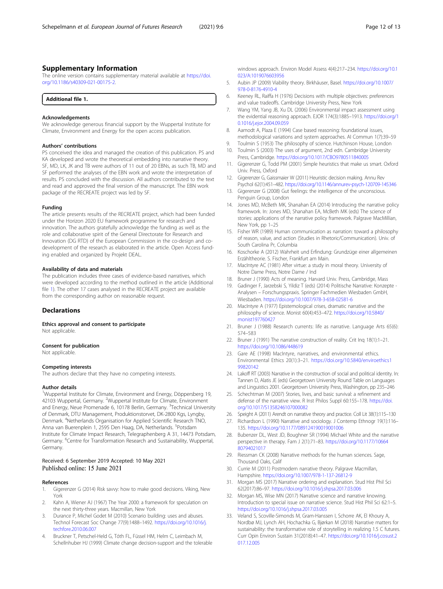#### <span id="page-11-0"></span>Supplementary Information

The online version contains supplementary material available at [https://doi.](https://doi.org/10.1186/s40309-021-00175-2) [org/10.1186/s40309-021-00175-2.](https://doi.org/10.1186/s40309-021-00175-2)

| Additional file 1.<br>. |  |
|-------------------------|--|
|-------------------------|--|

#### Acknowledgements

We acknowledge generous financial support by the Wuppertal Institute for Climate, Environment and Energy for the open access publication.

#### Authors' contributions

PS conceived the idea and managed the creation of this publication. PS and KA developed and wrote the theoretical embedding into narrative theory. SF, MD, LK, JK and TB were authors of 11 out of 20 EBNs, as such TB, MD and SF performed the analyses of the EBN work and wrote the interpretation of results. PS concluded with the discussion. All authors contributed to the text and read and approved the final version of the manuscript. The EBN work package of the RECREATE project was led by SF.

#### Funding

The article presents results of the RECREATE project, which had been funded under the Horizon 2020 EU framework programme for research and innovation. The authors gratefully acknowledge the funding as well as the role and collaborative spirit of the General Directorate for Research and Innovation (DG RTD) of the European Commission in the co-design and codevelopment of the research as elaborated in the article. Open Access funding enabled and organized by Projekt DEAL.

#### Availability of data and materials

The publication includes three cases of evidence-based narratives, which were developed according to the method outlined in the article (Additional file 1). The other 17 cases analysed in the RECREATE project are available from the corresponding author on reasonable request.

#### **Declarations**

Ethics approval and consent to participate

Not applicable.

#### Consent for publication

Not applicable.

#### Competing interests

The authors declare that they have no competing interests.

#### Author details

<sup>1</sup>Wuppertal Institute for Climate, Environment and Energy, Döppersberg 19, 42103 Wuppertal, Germany. <sup>2</sup>Wuppertal Institute for Climate, Environment and Energy, Neue Promenade 6, 10178 Berlin, Germany. <sup>3</sup>Technical University of Denmark, DTU Management, Produktionstorvet, DK-2800 Kgs, Lyngby, Denmark. <sup>4</sup>Netherlands Organisation for Applied Scientific Research TNO, Anna van Buerenplein 1, 2595 Den Haag, DA, Netherlands. <sup>5</sup>Potsdam Institute for Climate Impact Research, Telegraphenberg A 31, 14473 Potsdam, Germany. <sup>6</sup>Centre for Transformation Research and Sustainability, Wuppertal, Germany.

# Received: 6 September 2019 Accepted: 10 May 2021

#### References

- 1. Gigerenzer G (2014) Risk savvy: how to make good decisions. Viking, New York
- 2. Kahn A, Wiener AJ (1967) The Year 2000: a framework for speculation on the next thirty-three years. Macmillan, New York
- Durance P, Michel Godet M (2010) Scenario building: uses and abuses. Technol Forecast Soc Change 77(9):1488–1492. [https://doi.org/10.1016/j.](https://doi.org/10.1016/j.techfore.2010.06.007) [techfore.2010.06.007](https://doi.org/10.1016/j.techfore.2010.06.007)
- 4. Bruckner T, Petschel-Held G, Tóth FL, Füssel HM, Helm C, Leimbach M, Schellnhuber HJ (1999) Climate change decision-support and the tolerable

windows approach. Environ Model Assess 4(4):217–234. [https://doi.org/10.1](https://doi.org/10.1023/A:1019076603956) [023/A:1019076603956](https://doi.org/10.1023/A:1019076603956)

- 5. Aubin JP (2009) Viability theory. Birkhäuser, Basel. [https://doi.org/10.1007/](https://doi.org/10.1007/978-0-8176-4910-4) [978-0-8176-4910-4](https://doi.org/10.1007/978-0-8176-4910-4)
- 6. Keeney RL, Raiffa H (1976) Decisions with multiple objectives: preferences and value tradeoffs. Cambridge University Press, New York
- 7. Wang YM, Yang JB, Xu DL (2006) Environmental impact assessment using the evidential reasoning approach. EJOR 174(3):1885–1913. [https://doi.org/1](https://doi.org/10.1016/j.ejor.2004.09.059) [0.1016/j.ejor.2004.09.059](https://doi.org/10.1016/j.ejor.2004.09.059)
- 8. Aamodt A, Plaza E (1994) Case based reasoning: foundational issues, methodological variations and system approaches. AI Commun 1(7):39–59
- 9. Toulmin S (1953) The philosophy of science. Hutchinson House, London 10. Toulmin S (2003) The uses of argument, 2nd edn. Cambridge University
- Press, Cambridge. <https://doi.org/10.1017/CBO9780511840005> 11. Gigerenzer G, Todd PM (2001) Simple heuristics that make us smart. Oxford
- Univ. Press, Oxford 12. Gigerenzer G, Gaissmaier W (2011) Heuristic decision making. Annu Rev
- Psychol 62(1):451–482. <https://doi.org/10.1146/annurev-psych-120709-145346>
- 13. Gigerenzer G (2008) Gut feelings: the intelligence of the unconscious. Penguin Group, London
- 14. Jones MD, McBeth MK, Shanahan EA (2014) Introducing the narrative policy framework. In: Jones MD, Shanahan EA, McBeth MK (eds) The science of stories: applications of the narrative policy framework. Palgrave MacMillian, New York, pp 1–25
- 15. Fisher WR (1989) Human communication as narration: toward a philosophy of reason, value, and action (Studies in Rhetoric/Communication). Univ. of South Carolina Pr, Columbia
- 16. Koschorke A (2012) Wahrheit und Erfindung: Grundzüge einer allgemeinen Erzähltheorie. S. Fischer, Frankfurt am Main.
- 17. MacIntyre AC (1981) After virtue: a study in moral theory. University of Notre Dame Press, Notre Dame / Ind
- 18. Bruner J (1990) Acts of meaning. Harvard Univ. Press, Cambridge, Mass
- 19. Gadinger F, Jarzebski S, Yildiz T (eds) (2014) Politische Narrative: Konzepte Analysen – Forschungspraxis. Springer Fachmedien Wiesbaden GmbH, Wiesbaden. <https://doi.org/10.1007/978-3-658-02581-6>
- 20. MacIntyre A (1977) Epistemological crises, dramatic narrative and the philosophy of science. Monist 60(4):453–472. [https://doi.org/10.5840/](https://doi.org/10.5840/monist197760427) [monist197760427](https://doi.org/10.5840/monist197760427)
- 21. Bruner J (1988) Research currents: life as narrative. Language Arts 65(6): 574–583
- 22. Bruner J (1991) The narrative construction of reality. Crit Inq 18(1):1–21. <https://doi.org/10.1086/448619>
- 23. Gare AE (1998) MacIntyre, narratives, and environmental ethics. Environmental Ethics 20(1):3–21. [https://doi.org/10.5840/enviroethics1](https://doi.org/10.5840/enviroethics199820142) [99820142](https://doi.org/10.5840/enviroethics199820142)
- 24. Lakoff RT (2003) Narrative in the construction of social and political identity. In: Tannen D, Alatis JE (eds) Georgetown University Round Table on Languages and Linguistics 2001. Georgetown University Press, Washington, pp 235–246
- 25. Schechtman M (2007) Stories, lives, and basic survival: a refinement and defense of the narrative view. R Inst Philos Suppl 60:155–178. [https://doi.](https://doi.org/10.1017/S1358246107000082) [org/10.1017/S1358246107000082](https://doi.org/10.1017/S1358246107000082)
- 26. Speight A (2011) Arendt on narrative theory and practice. Coll Lit 38(1):115–130 27. Richardson L (1990) Narrative and sociology. J Contemp Ethnogr 19(1):116–
- 135. <https://doi.org/10.1177/089124190019001006> 28. Bubenzer DL, West JD, Boughner SR (1994) Michael White and the narrative
- perspective in therapy. Fam J 2(1):71–83. [https://doi.org/10.1177/10664](https://doi.org/10.1177/1066480794021017) [80794021017](https://doi.org/10.1177/1066480794021017)
- 29. Riessman CK (2008) Narrative methods for the human sciences. Sage, Thousand Oaks, Calif
- 30. Currie M (2011) Postmodern narrative theory. Palgrave Macmillan, Hampshire. <https://doi.org/10.1007/978-1-137-26812-9>
- 31. Morgan MS (2017) Narrative ordering and explanation. Stud Hist Phil Sci 62(2017):86–97. <https://doi.org/10.1016/j.shpsa.2017.03.006>
- 32. Morgan MS, Wise MN (2017) Narrative science and narrative knowing. Introduction to special issue on narrative science. Stud Hist Phil Sci 62:1–5. <https://doi.org/10.1016/j.shpsa.2017.03.005>
- 33. Veland S, Scoville-Simonds M, Gram-Hanssen I, Schorre AK, El Khoury A, Nordbø MJ, Lynch AH, Hochachka G, Bjørkan M (2018) Narrative matters for sustainability: the transformative role of storytelling in realizing 1.5 C futures. Curr Opin Environ Sustain 31(2018):41–47. [https://doi.org/10.1016/j.cosust.2](https://doi.org/10.1016/j.cosust.2017.12.005) [017.12.005](https://doi.org/10.1016/j.cosust.2017.12.005)